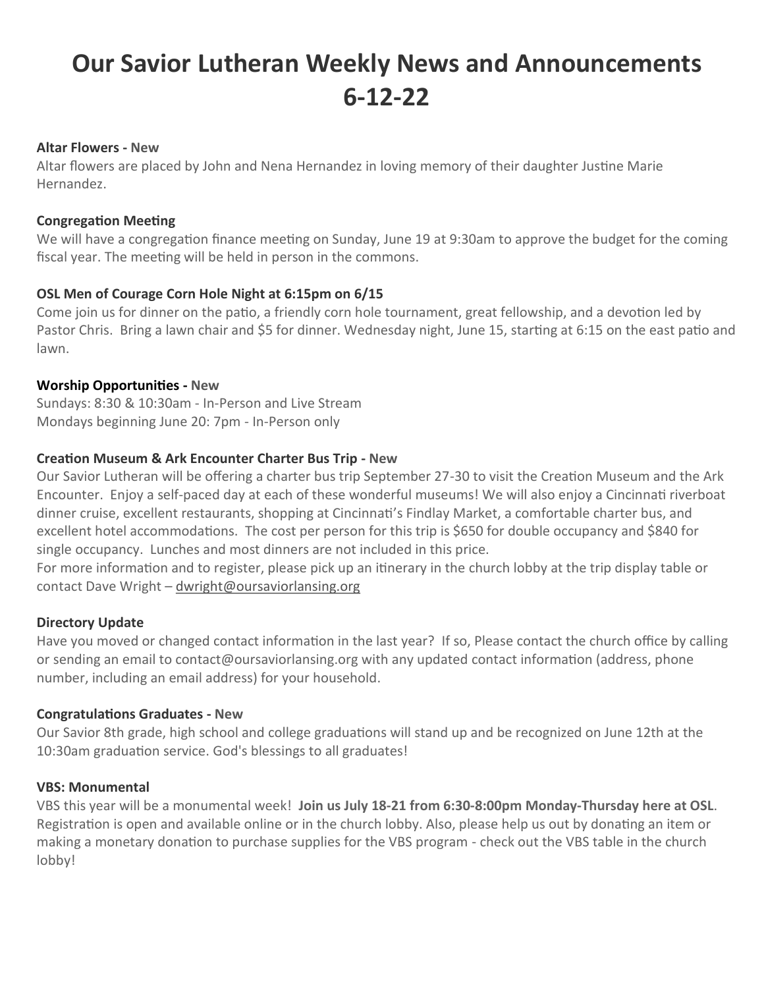# **Our Savior Lutheran Weekly News and Announcements 6-12-22**

#### **Altar Flowers - New**

Altar flowers are placed by John and Nena Hernandez in loving memory of their daughter Justine Marie Hernandez.

## **Congregation Meeting**

We will have a congregation finance meeting on Sunday, June 19 at 9:30am to approve the budget for the coming fiscal year. The meeting will be held in person in the commons.

## **OSL Men of Courage Corn Hole Night at 6:15pm on 6/15**

Come join us for dinner on the patio, a friendly corn hole tournament, great fellowship, and a devotion led by Pastor Chris. Bring a lawn chair and \$5 for dinner. Wednesday night, June 15, starting at 6:15 on the east patio and lawn.

## **Worship Opportunities - New**

Sundays: 8:30 & 10:30am - In-Person and Live Stream Mondays beginning June 20: 7pm - In-Person only

## **Creation Museum & Ark Encounter Charter Bus Trip - New**

Our Savior Lutheran will be offering a charter bus trip September 27-30 to visit the Creation Museum and the Ark Encounter. Enjoy a self-paced day at each of these wonderful museums! We will also enjoy a Cincinnati riverboat dinner cruise, excellent restaurants, shopping at Cincinnati's Findlay Market, a comfortable charter bus, and excellent hotel accommodations. The cost per person for this trip is \$650 for double occupancy and \$840 for single occupancy. Lunches and most dinners are not included in this price.

For more information and to register, please pick up an itinerary in the church lobby at the trip display table or contact Dave Wright - [dwright@oursaviorlansing.org](mailto:dwright@oursaviorlansing.org)

## **Directory Update**

Have you moved or changed contact information in the last year? If so, Please contact the church office by calling or sending an email to contact@oursaviorlansing.org with any updated contact information (address, phone number, including an email address) for your household.

## **Congratulations Graduates - New**

Our Savior 8th grade, high school and college graduations will stand up and be recognized on June 12th at the 10:30am graduation service. God's blessings to all graduates!

#### **VBS: Monumental**

VBS this year will be a monumental week! **Join us July 18-21 from 6:30-8:00pm Monday-Thursday here at OSL**. Registration is open and available online or in the church lobby. Also, please help us out by donating an item or making a monetary donation to purchase supplies for the VBS program - check out the VBS table in the church lobby!